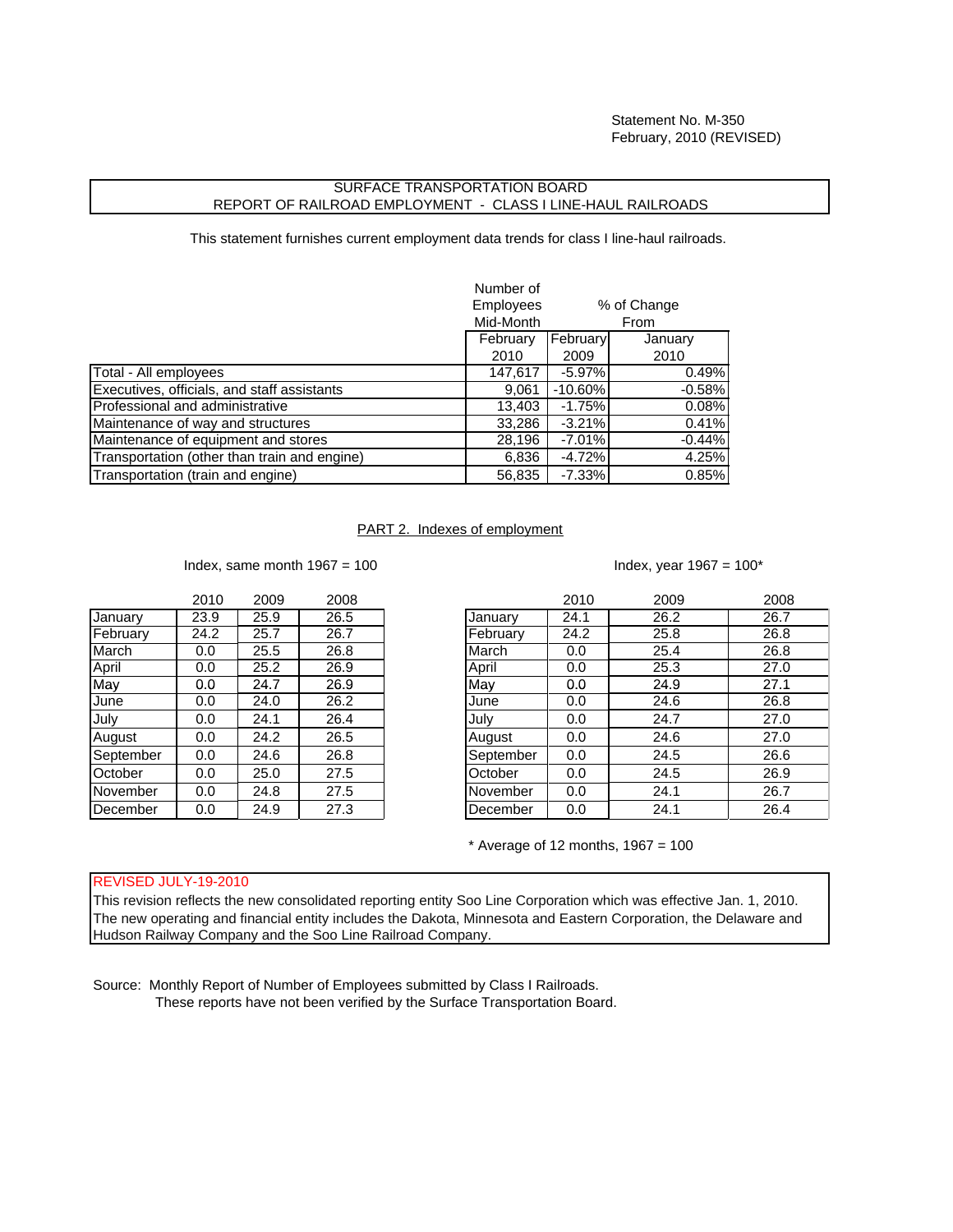## SURFACE TRANSPORTATION BOARD REPORT OF RAILROAD EMPLOYMENT - CLASS I LINE-HAUL RAILROADS

This statement furnishes current employment data trends for class I line-haul railroads.

|                                              | Number of        |           |             |
|----------------------------------------------|------------------|-----------|-------------|
|                                              | <b>Employees</b> |           | % of Change |
|                                              | Mid-Month        |           | From        |
|                                              | February         | February  | January     |
|                                              | 2010             | 2009      | 2010        |
| Total - All employees                        | 147,617          | $-5.97%$  | 0.49%       |
| Executives, officials, and staff assistants  | 9,061            | $-10.60%$ | $-0.58%$    |
| Professional and administrative              | 13,403           | $-1.75%$  | 0.08%       |
| Maintenance of way and structures            | 33,286           | $-3.21%$  | 0.41%       |
| Maintenance of equipment and stores          | 28,196           | $-7.01\%$ | $-0.44%$    |
| Transportation (other than train and engine) | 6,836            | $-4.72%$  | 4.25%       |
| Transportation (train and engine)            | 56,835           | $-7.33%$  | 0.85%       |

## PART 2. Indexes of employment

Index, same month  $1967 = 100$  Index, year  $1967 = 100^*$ 

|                | 2010 | 2009 | 2008 |
|----------------|------|------|------|
| <b>January</b> | 23.9 | 25.9 | 26.5 |
| February       | 24.2 | 25.7 | 26.7 |
| March          | 0.0  | 25.5 | 26.8 |
| April          | 0.0  | 25.2 | 26.9 |
| May            | 0.0  | 24.7 | 26.9 |
| June           | 0.0  | 24.0 | 26.2 |
| July           | 0.0  | 24.1 | 26.4 |
| August         | 0.0  | 24.2 | 26.5 |
| September      | 0.0  | 24.6 | 26.8 |
| October        | 0.0  | 25.0 | 27.5 |
| November       | 0.0  | 24.8 | 27.5 |
| December       | 0.0  | 24.9 | 27.3 |

| January<br>26.2<br>26.7<br>25.9<br>23.9<br>26.5<br>24.1<br>January<br>February<br>24.2<br>25.8<br>26.8<br>25.7<br>26.7<br>24.2<br>February<br>March<br>25.5<br>26.8<br>March<br>25.4<br>26.8<br>0.0<br>0.0<br>April<br>25.3<br>25.2<br>26.9<br>27.0<br>April<br>0.0<br>0.0<br>May<br>May<br>26.9<br>24.9<br>27.1<br>24.7<br>0.0<br>0.0<br>26.8<br>26.2<br>24.6<br>June<br>24.0<br>0.0<br>0.0<br>June<br>July<br>July<br>26.4<br>24.7<br>24.1<br>0.0<br>27.0<br>0.0<br>24.6<br>24.2<br>26.5<br>27.0<br>August<br>0.0<br>0.0<br>August<br>September<br>September<br>26.6<br>26.8<br>24.5<br>24.6<br>0.0<br>0.0<br>October<br>27.5<br>26.9<br>25.0<br>24.5<br>October<br>0.0<br>0.0<br>November<br>27.5<br>26.7<br>24.1<br>24.8<br>0.0<br>0.0<br>November |          | 2010 | 2009 | 2008 |          | 2010 | 2009 | 2008 |
|--------------------------------------------------------------------------------------------------------------------------------------------------------------------------------------------------------------------------------------------------------------------------------------------------------------------------------------------------------------------------------------------------------------------------------------------------------------------------------------------------------------------------------------------------------------------------------------------------------------------------------------------------------------------------------------------------------------------------------------------------------|----------|------|------|------|----------|------|------|------|
|                                                                                                                                                                                                                                                                                                                                                                                                                                                                                                                                                                                                                                                                                                                                                        |          |      |      |      |          |      |      |      |
|                                                                                                                                                                                                                                                                                                                                                                                                                                                                                                                                                                                                                                                                                                                                                        |          |      |      |      |          |      |      |      |
|                                                                                                                                                                                                                                                                                                                                                                                                                                                                                                                                                                                                                                                                                                                                                        |          |      |      |      |          |      |      |      |
|                                                                                                                                                                                                                                                                                                                                                                                                                                                                                                                                                                                                                                                                                                                                                        |          |      |      |      |          |      |      |      |
|                                                                                                                                                                                                                                                                                                                                                                                                                                                                                                                                                                                                                                                                                                                                                        |          |      |      |      |          |      |      |      |
|                                                                                                                                                                                                                                                                                                                                                                                                                                                                                                                                                                                                                                                                                                                                                        |          |      |      |      |          |      |      |      |
|                                                                                                                                                                                                                                                                                                                                                                                                                                                                                                                                                                                                                                                                                                                                                        |          |      |      |      |          |      |      |      |
|                                                                                                                                                                                                                                                                                                                                                                                                                                                                                                                                                                                                                                                                                                                                                        |          |      |      |      |          |      |      |      |
|                                                                                                                                                                                                                                                                                                                                                                                                                                                                                                                                                                                                                                                                                                                                                        |          |      |      |      |          |      |      |      |
|                                                                                                                                                                                                                                                                                                                                                                                                                                                                                                                                                                                                                                                                                                                                                        |          |      |      |      |          |      |      |      |
|                                                                                                                                                                                                                                                                                                                                                                                                                                                                                                                                                                                                                                                                                                                                                        |          |      |      |      |          |      |      |      |
|                                                                                                                                                                                                                                                                                                                                                                                                                                                                                                                                                                                                                                                                                                                                                        | December | 0.0  | 24.9 | 27.3 | December | 0.0  | 24.1 | 26.4 |

 $*$  Average of 12 months, 1967 = 100

## REVISED JULY-19-2010

This revision reflects the new consolidated reporting entity Soo Line Corporation which was effective Jan. 1, 2010. The new operating and financial entity includes the Dakota, Minnesota and Eastern Corporation, the Delaware and Hudson Railway Company and the Soo Line Railroad Company.

Source: Monthly Report of Number of Employees submitted by Class I Railroads. These reports have not been verified by the Surface Transportation Board.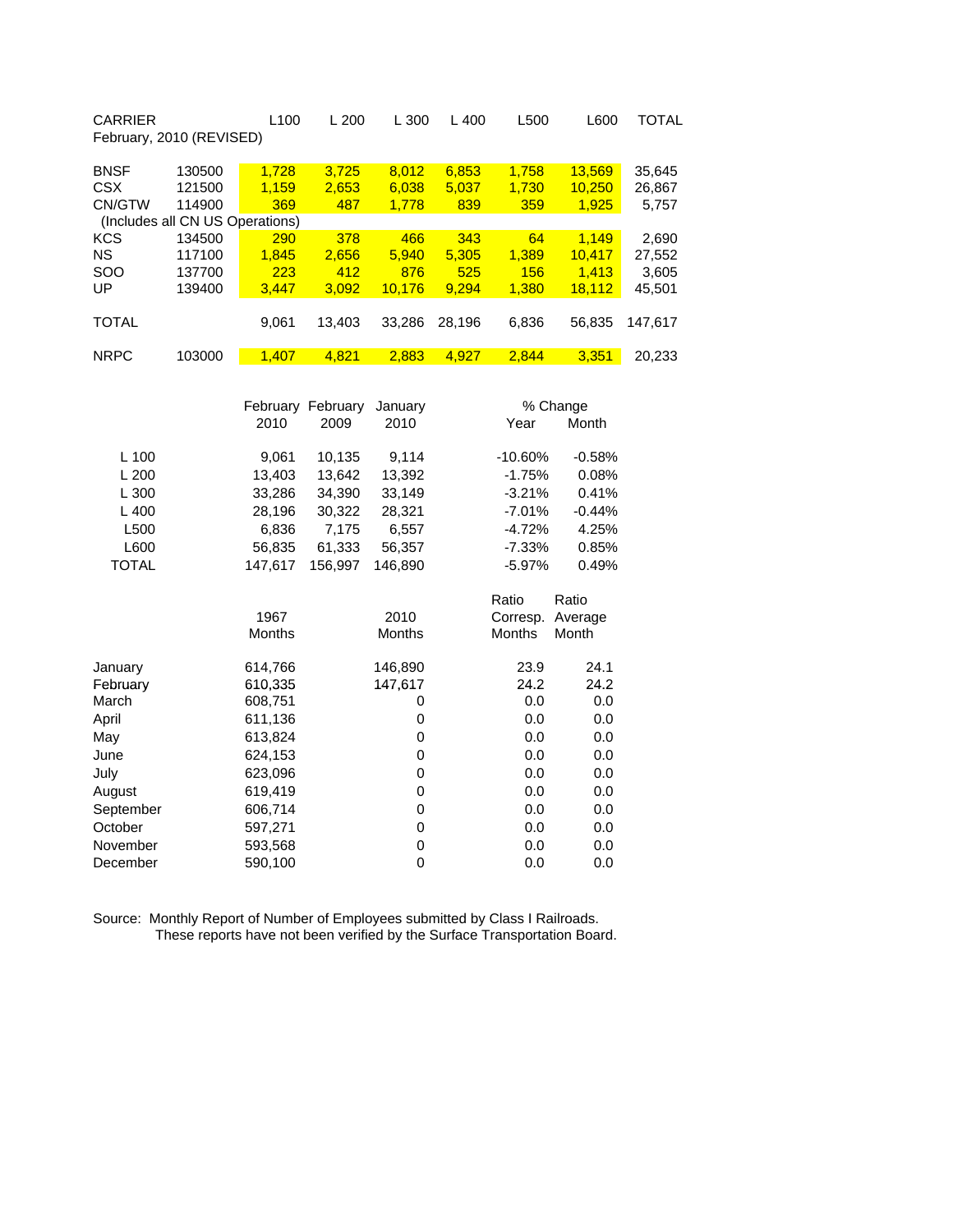| <b>CARRIER</b><br>February, 2010 (REVISED) |        | L <sub>100</sub>         | L200   | L300   | $L$ 400 | L500  | L600   | TOTAL   |
|--------------------------------------------|--------|--------------------------|--------|--------|---------|-------|--------|---------|
| <b>BNSF</b>                                | 130500 | 1,728                    | 3,725  | 8,012  | 6,853   | 1.758 | 13,569 | 35,645  |
| <b>CSX</b>                                 | 121500 | 1.159                    | 2,653  | 6,038  | 5,037   | 1,730 | 10.250 | 26,867  |
| CN/GTW                                     | 114900 | 369                      | 487    | 1.778  | 839     | 359   | 1,925  | 5,757   |
| (Includes all                              |        | <b>CN US Operations)</b> |        |        |         |       |        |         |
| <b>KCS</b>                                 | 134500 | 290                      | 378    | 466    | 343     | 64    | 1.149  | 2,690   |
| <b>NS</b>                                  | 117100 | 1.845                    | 2.656  | 5.940  | 5.305   | 1.389 | 10.417 | 27,552  |
| <b>SOO</b>                                 | 137700 | 223                      | 412    | 876    | 525     | 156   | 1.413  | 3,605   |
| UP                                         | 139400 | 3.447                    | 3.092  | 10.176 | 9.294   | 1.380 | 18.112 | 45,501  |
|                                            |        |                          |        |        |         |       |        |         |
| <b>TOTAL</b>                               |        | 9,061                    | 13.403 | 33.286 | 28.196  | 6,836 | 56.835 | 147.617 |
|                                            |        |                          |        |        |         |       |        |         |
| <b>NRPC</b>                                | 103000 | 1.407                    | 4.821  | 2.883  | 4.927   | 2.844 | 3.351  | 20.233  |

|              |               | February February | January       |               | % Change |
|--------------|---------------|-------------------|---------------|---------------|----------|
|              | 2010          | 2009              | 2010          | Year          | Month    |
| L 100        | 9,061         | 10,135            | 9,114         | $-10.60%$     | $-0.58%$ |
| L 200        | 13,403        | 13,642            | 13,392        | $-1.75%$      | 0.08%    |
| L 300        | 33,286        | 34,390            | 33,149        | $-3.21%$      | 0.41%    |
| L 400        | 28,196        | 30,322            | 28,321        | $-7.01\%$     | $-0.44%$ |
| L500         | 6,836         | 7,175             | 6,557         | $-4.72%$      | 4.25%    |
| L600         | 56,835        | 61,333            | 56,357        | $-7.33%$      | 0.85%    |
| <b>TOTAL</b> | 147,617       | 156,997           | 146,890       | $-5.97%$      | 0.49%    |
|              |               |                   |               | Ratio         | Ratio    |
|              | 1967          |                   | 2010          | Corresp.      | Average  |
|              | <b>Months</b> |                   | <b>Months</b> | <b>Months</b> | Month    |
| Januarv      | 614,766       |                   | 146,890       | 23.9          | 24.1     |
| February     | 610,335       |                   | 147,617       | 24.2          | 24.2     |
| March        | 608,751       |                   | 0             | 0.0           | 0.0      |
| April        | 611,136       |                   | 0             | 0.0           | 0.0      |
| May          | 613,824       |                   | 0             | 0.0           | 0.0      |
| June         | 624,153       |                   | 0             | 0.0           | 0.0      |
| July         | 623,096       |                   | 0             | 0.0           | 0.0      |
| August       | 619,419       |                   | 0             | 0.0           | 0.0      |
| September    | 606,714       |                   | 0             | 0.0           | 0.0      |
| October      | 597,271       |                   | 0             | 0.0           | 0.0      |
| November     | 593,568       |                   | 0             | 0.0           | 0.0      |
| December     | 590,100       |                   | 0             | 0.0           | 0.0      |

Source: Monthly Report of Number of Employees submitted by Class I Railroads. These reports have not been verified by the Surface Transportation Board.